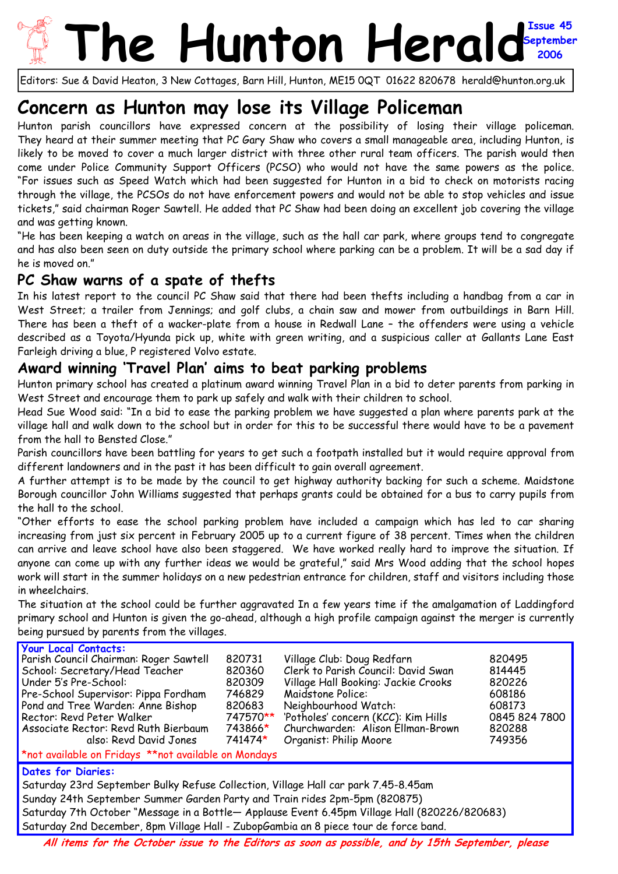## **he Hunton Heral September 2006**

Editors: Sue & David Heaton, 3 New Cottages, Barn Hill, Hunton, ME15 0QT 01622 820678 herald@hunton.org.uk

# **Concern as Hunton may lose its Village Policeman**

Hunton parish councillors have expressed concern at the possibility of losing their village policeman. They heard at their summer meeting that PC Gary Shaw who covers a small manageable area, including Hunton, is likely to be moved to cover a much larger district with three other rural team officers. The parish would then come under Police Community Support Officers (PCSO) who would not have the same powers as the police. "For issues such as Speed Watch which had been suggested for Hunton in a bid to check on motorists racing through the village, the PCSOs do not have enforcement powers and would not be able to stop vehicles and issue tickets," said chairman Roger Sawtell. He added that PC Shaw had been doing an excellent job covering the village and was getting known.

"He has been keeping a watch on areas in the village, such as the hall car park, where groups tend to congregate and has also been seen on duty outside the primary school where parking can be a problem. It will be a sad day if he is moved on."

### **PC Shaw warns of a spate of thefts**

In his latest report to the council PC Shaw said that there had been thefts including a handbag from a car in West Street; a trailer from Jennings; and golf clubs, a chain saw and mower from outbuildings in Barn Hill. There has been a theft of a wacker-plate from a house in Redwall Lane – the offenders were using a vehicle described as a Toyota/Hyunda pick up, white with green writing, and a suspicious caller at Gallants Lane East Farleigh driving a blue, P registered Volvo estate.

#### **Award winning 'Travel Plan' aims to beat parking problems**

Hunton primary school has created a platinum award winning Travel Plan in a bid to deter parents from parking in West Street and encourage them to park up safely and walk with their children to school.

Head Sue Wood said: "In a bid to ease the parking problem we have suggested a plan where parents park at the village hall and walk down to the school but in order for this to be successful there would have to be a pavement from the hall to Bensted Close."

Parish councillors have been battling for years to get such a footpath installed but it would require approval from different landowners and in the past it has been difficult to gain overall agreement.

A further attempt is to be made by the council to get highway authority backing for such a scheme. Maidstone Borough councillor John Williams suggested that perhaps grants could be obtained for a bus to carry pupils from the hall to the school.

"Other efforts to ease the school parking problem have included a campaign which has led to car sharing increasing from just six percent in February 2005 up to a current figure of 38 percent. Times when the children can arrive and leave school have also been staggered. We have worked really hard to improve the situation. If anyone can come up with any further ideas we would be grateful," said Mrs Wood adding that the school hopes work will start in the summer holidays on a new pedestrian entrance for children, staff and visitors including those in wheelchairs.

The situation at the school could be further aggravated In a few years time if the amalgamation of Laddingford primary school and Hunton is given the go-ahead, although a high profile campaign against the merger is currently being pursued by parents from the villages.

| <b>Your Local Contacts:</b>                                                                      |          |                                     |               |  |  |  |
|--------------------------------------------------------------------------------------------------|----------|-------------------------------------|---------------|--|--|--|
| Parish Council Chairman: Roger Sawtell                                                           | 820731   | Village Club: Doug Redfarn          | 820495        |  |  |  |
| School: Secretary/Head Teacher                                                                   | 820360   | Clerk to Parish Council: David Swan | 814445        |  |  |  |
| Under 5's Pre-School:                                                                            | 820309   | Village Hall Booking: Jackie Crooks | 820226        |  |  |  |
| Pre-School Supervisor: Pippa Fordham                                                             | 746829   | Maidstone Police:                   | 608186        |  |  |  |
| Pond and Tree Warden: Anne Bishop                                                                | 820683   | Neighbourhood Watch:                | 608173        |  |  |  |
| Rector: Revd Peter Walker                                                                        | 747570** | 'Potholes' concern (KCC): Kim Hills | 0845 824 7800 |  |  |  |
| Associate Rector: Revd Ruth Bierbaum                                                             | 743866*  | Churchwarden: Alison Ellman-Brown   | 820288        |  |  |  |
| also: Revd David Jones                                                                           | 741474*  | Organist: Philip Moore              | 749356        |  |  |  |
| *not available on Fridays **not available on Mondays                                             |          |                                     |               |  |  |  |
| <b>Dates for Diaries:</b>                                                                        |          |                                     |               |  |  |  |
| Saturday 23rd September Bulky Refuse Collection, Village Hall car park 7.45-8.45am               |          |                                     |               |  |  |  |
| Sunday 24th September Summer Garden Party and Train rides 2pm-5pm (820875)                       |          |                                     |               |  |  |  |
| Saturday 7th October "Message in a Bottle- Applause Event 6.45pm Village Hall (820226/820683)    |          |                                     |               |  |  |  |
|                                                                                                  |          |                                     |               |  |  |  |
| Saturday 2nd December, 8pm Village Hall - ZubopGambia an 8 piece tour de force band.             |          |                                     |               |  |  |  |
| All itams fou the October issue to the Editors so seen or presible, and by 15th Contember places |          |                                     |               |  |  |  |

**All items for the October issue to the Editors as soon as possible, and by 15th September, please**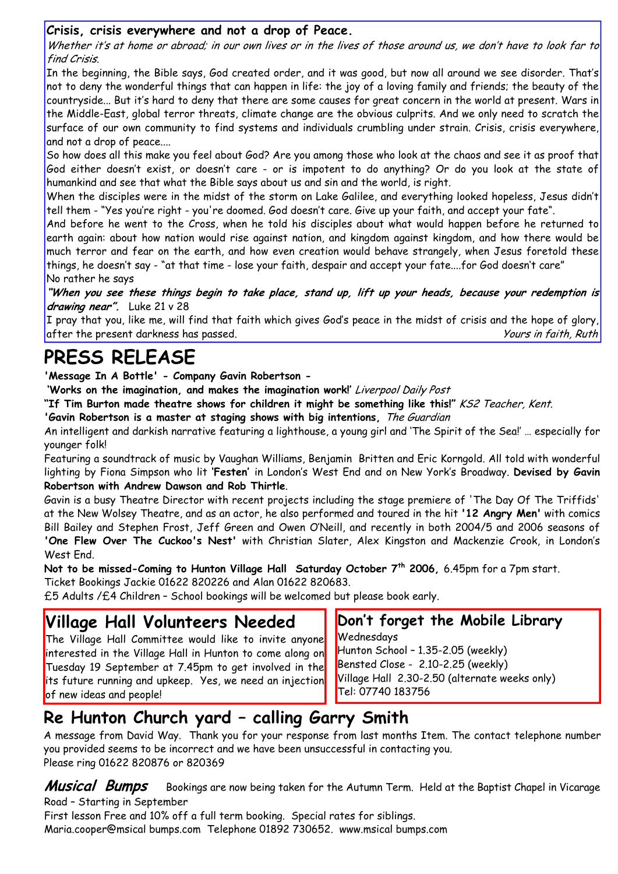#### **Crisis, crisis everywhere and not a drop of Peace.**

Whether it's at home or abroad; in our own lives or in the lives of those around us, we don't have to look far to find Crisis.

In the beginning, the Bible says, God created order, and it was good, but now all around we see disorder. That's not to deny the wonderful things that can happen in life: the joy of a loving family and friends; the beauty of the countryside... But it's hard to deny that there are some causes for great concern in the world at present. Wars in the Middle-East, global terror threats, climate change are the obvious culprits. And we only need to scratch the surface of our own community to find systems and individuals crumbling under strain. Crisis, crisis everywhere, and not a drop of peace....

So how does all this make you feel about God? Are you among those who look at the chaos and see it as proof that God either doesn't exist, or doesn't care - or is impotent to do anything? Or do you look at the state of humankind and see that what the Bible says about us and sin and the world, is right.

When the disciples were in the midst of the storm on Lake Galilee, and everything looked hopeless, Jesus didn't tell them - "Yes you're right - you're doomed. God doesn't care. Give up your faith, and accept your fate".

And before he went to the Cross, when he told his disciples about what would happen before he returned to earth again: about how nation would rise against nation, and kingdom against kingdom, and how there would be much terror and fear on the earth, and how even creation would behave strangely, when Jesus foretold these things, he doesn't say - "at that time - lose your faith, despair and accept your fate....for God doesn't care" No rather he says

**"When you see these things begin to take place, stand up, lift up your heads, because your redemption is drawing near".** Luke 21 v 28

I pray that you, like me, will find that faith which gives God's peace in the midst of crisis and the hope of glory, after the present darkness has passed. The second series of the second term of the series of the series of the series of the series of the series of the series of the series of the series of the series of the series of the

# **PRESS RELEASE**

**'Message In A Bottle' - Company Gavin Robertson -** 

**'Works on the imagination, and makes the imagination work!'** Liverpool Daily Post

**"If Tim Burton made theatre shows for children it might be something like this!"** KS2 Teacher, Kent.

**'Gavin Robertson is a master at staging shows with big intentions,** The Guardian

An intelligent and darkish narrative featuring a lighthouse, a young girl and 'The Spirit of the Sea!' … especially for younger folk!

Featuring a soundtrack of music by Vaughan Williams, Benjamin Britten and Eric Korngold. All told with wonderful lighting by Fiona Simpson who lit **'Festen'** in London's West End and on New York's Broadway. **Devised by Gavin Robertson with Andrew Dawson and Rob Thirtle**.

Gavin is a busy Theatre Director with recent projects including the stage premiere of 'The Day Of The Triffids' at the New Wolsey Theatre, and as an actor, he also performed and toured in the hit **'12 Angry Men'** with comics Bill Bailey and Stephen Frost, Jeff Green and Owen O'Neill, and recently in both 2004/5 and 2006 seasons of **'One Flew Over The Cuckoo's Nest'** with Christian Slater, Alex Kingston and Mackenzie Crook, in London's West End.

**Not to be missed-Coming to Hunton Village Hall Saturday October 7th 2006,** 6.45pm for a 7pm start.

Ticket Bookings Jackie 01622 820226 and Alan 01622 820683.

£5 Adults /£4 Children – School bookings will be welcomed but please book early.

### **Village Hall Volunteers Needed**

The Village Hall Committee would like to invite anyone interested in the Village Hall in Hunton to come along on Tuesday 19 September at 7.45pm to get involved in the its future running and upkeep. Yes, we need an injection of new ideas and people!

**Don't forget the Mobile Library Wednesdays** 

Hunton School – 1.35-2.05 (weekly) Bensted Close - 2.10-2.25 (weekly) Village Hall 2.30-2.50 (alternate weeks only) Tel: 07740 183756

### **Re Hunton Church yard – calling Garry Smith**

A message from David Way. Thank you for your response from last months Item. The contact telephone number you provided seems to be incorrect and we have been unsuccessful in contacting you. Please ring 01622 820876 or 820369

**Musical Bumps** Bookings are now being taken for the Autumn Term. Held at the Baptist Chapel in Vicarage Road – Starting in September

First lesson Free and 10% off a full term booking. Special rates for siblings. Maria.cooper@msical bumps.com Telephone 01892 730652. www.msical bumps.com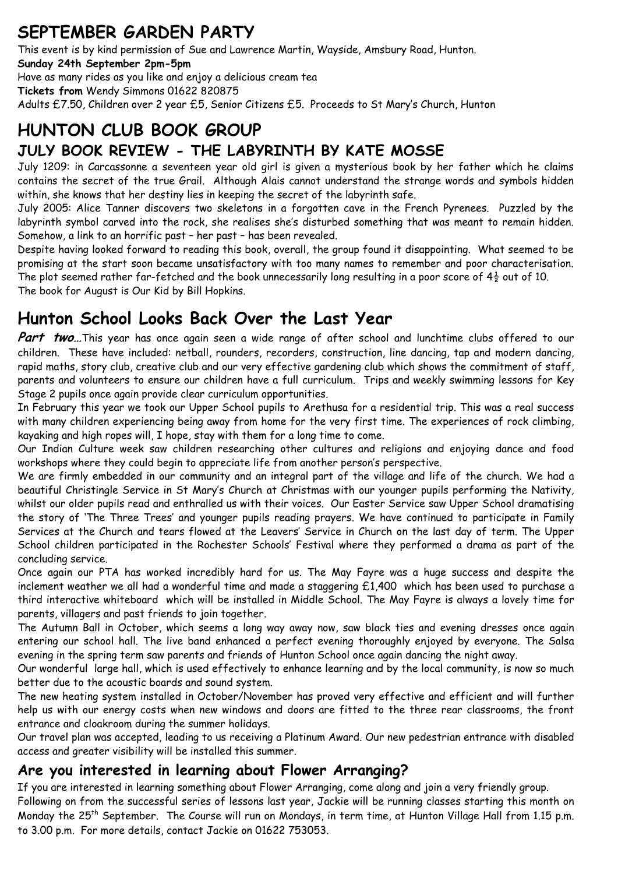## **SEPTEMBER GARDEN PARTY**

This event is by kind permission of Sue and Lawrence Martin, Wayside, Amsbury Road, Hunton. **Sunday 24th September 2pm-5pm**  Have as many rides as you like and enjoy a delicious cream tea **Tickets from** Wendy Simmons 01622 820875 Adults £7.50, Children over 2 year £5, Senior Citizens £5. Proceeds to St Mary's Church, Hunton

## **HUNTON CLUB BOOK GROUP JULY BOOK REVIEW - THE LABYRINTH BY KATE MOSSE**

July 1209: in Carcassonne a seventeen year old girl is given a mysterious book by her father which he claims contains the secret of the true Grail. Although Alais cannot understand the strange words and symbols hidden within, she knows that her destiny lies in keeping the secret of the labyrinth safe.

July 2005: Alice Tanner discovers two skeletons in a forgotten cave in the French Pyrenees. Puzzled by the labyrinth symbol carved into the rock, she realises she's disturbed something that was meant to remain hidden. Somehow, a link to an horrific past – her past – has been revealed.

Despite having looked forward to reading this book, overall, the group found it disappointing. What seemed to be promising at the start soon became unsatisfactory with too many names to remember and poor characterisation. The plot seemed rather far-fetched and the book unnecessarily long resulting in a poor score of  $4\frac{1}{2}$  out of 10. The book for August is Our Kid by Bill Hopkins.

## **Hunton School Looks Back Over the Last Year**

Part two...This year has once again seen a wide range of after school and lunchtime clubs offered to our children. These have included: netball, rounders, recorders, construction, line dancing, tap and modern dancing, rapid maths, story club, creative club and our very effective gardening club which shows the commitment of staff, parents and volunteers to ensure our children have a full curriculum. Trips and weekly swimming lessons for Key Stage 2 pupils once again provide clear curriculum opportunities.

In February this year we took our Upper School pupils to Arethusa for a residential trip. This was a real success with many children experiencing being away from home for the very first time. The experiences of rock climbing, kayaking and high ropes will, I hope, stay with them for a long time to come.

Our Indian Culture week saw children researching other cultures and religions and enjoying dance and food workshops where they could begin to appreciate life from another person's perspective.

We are firmly embedded in our community and an integral part of the village and life of the church. We had a beautiful Christingle Service in St Mary's Church at Christmas with our younger pupils performing the Nativity, whilst our older pupils read and enthralled us with their voices. Our Easter Service saw Upper School dramatising the story of 'The Three Trees' and younger pupils reading prayers. We have continued to participate in Family Services at the Church and tears flowed at the Leavers' Service in Church on the last day of term. The Upper School children participated in the Rochester Schools' Festival where they performed a drama as part of the concluding service.

Once again our PTA has worked incredibly hard for us. The May Fayre was a huge success and despite the inclement weather we all had a wonderful time and made a staggering £1,400 which has been used to purchase a third interactive whiteboard which will be installed in Middle School. The May Fayre is always a lovely time for parents, villagers and past friends to join together.

The Autumn Ball in October, which seems a long way away now, saw black ties and evening dresses once again entering our school hall. The live band enhanced a perfect evening thoroughly enjoyed by everyone. The Salsa evening in the spring term saw parents and friends of Hunton School once again dancing the night away.

Our wonderful large hall, which is used effectively to enhance learning and by the local community, is now so much better due to the acoustic boards and sound system.

The new heating system installed in October/November has proved very effective and efficient and will further help us with our energy costs when new windows and doors are fitted to the three rear classrooms, the front entrance and cloakroom during the summer holidays.

Our travel plan was accepted, leading to us receiving a Platinum Award. Our new pedestrian entrance with disabled access and greater visibility will be installed this summer.

### **Are you interested in learning about Flower Arranging?**

If you are interested in learning something about Flower Arranging, come along and join a very friendly group. Following on from the successful series of lessons last year, Jackie will be running classes starting this month on Monday the 25th September. The Course will run on Mondays, in term time, at Hunton Village Hall from 1.15 p.m. to 3.00 p.m. For more details, contact Jackie on 01622 753053.